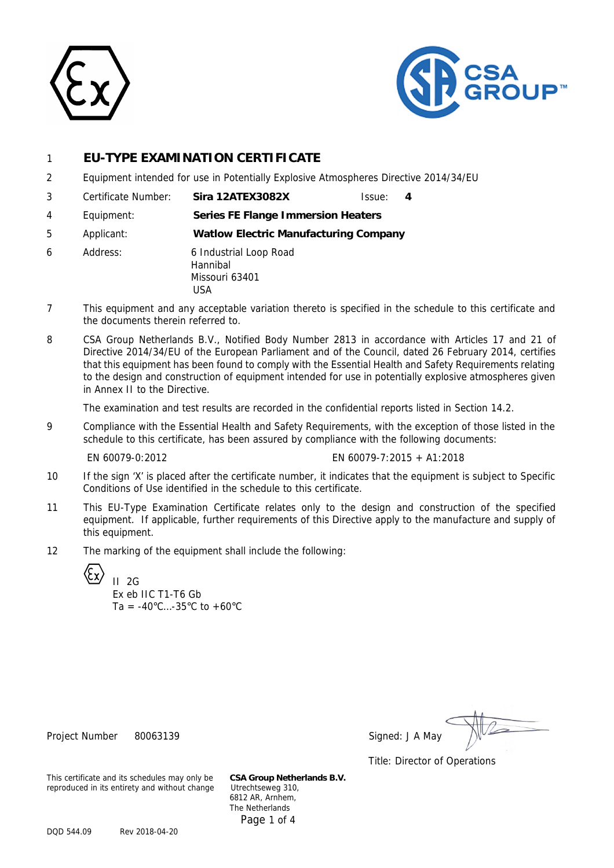



## 1 **EU-TYPE EXAMINATION CERTIFICATE**

- 2 Equipment intended for use in Potentially Explosive Atmospheres Directive 2014/34/EU
- 3 Certificate Number: **Sira 12ATEX3082X** Issue: **4**
- 4 Equipment: **Series FE Flange Immersion Heaters**
- 5 Applicant: **Watlow Electric Manufacturing Company**
- 6 Address: 6 Industrial Loop Road Hannibal Missouri 63401 USA
- 7 This equipment and any acceptable variation thereto is specified in the schedule to this certificate and the documents therein referred to.
- 8 CSA Group Netherlands B.V., Notified Body Number 2813 in accordance with Articles 17 and 21 of Directive 2014/34/EU of the European Parliament and of the Council, dated 26 February 2014, certifies that this equipment has been found to comply with the Essential Health and Safety Requirements relating to the design and construction of equipment intended for use in potentially explosive atmospheres given in Annex II to the Directive.

The examination and test results are recorded in the confidential reports listed in Section 14.2.

9 Compliance with the Essential Health and Safety Requirements, with the exception of those listed in the schedule to this certificate, has been assured by compliance with the following documents:

EN 60079-0:2012 EN 60079-7:2015 + A1:2018

- 10 If the sign 'X' is placed after the certificate number, it indicates that the equipment is subject to Specific Conditions of Use identified in the schedule to this certificate.
- 11 This EU-Type Examination Certificate relates only to the design and construction of the specified equipment. If applicable, further requirements of this Directive apply to the manufacture and supply of this equipment.
- 12 The marking of the equipment shall include the following:

 $II$  2G Ex eb IIC T1-T6 Gb  $Ta = -40^{\circ}C... - 35^{\circ}C$  to  $+60^{\circ}C$ 

Project Number 80063139 Signed: J A May

Title: Director of Operations

This certificate and its schedules may only be **CSA Group Netherlands B.V.** reproduced in its entirety and without change

6812 AR, Arnhem, The Netherlands Page 1 of 4

DQD 544.09 Rev 2018-04-20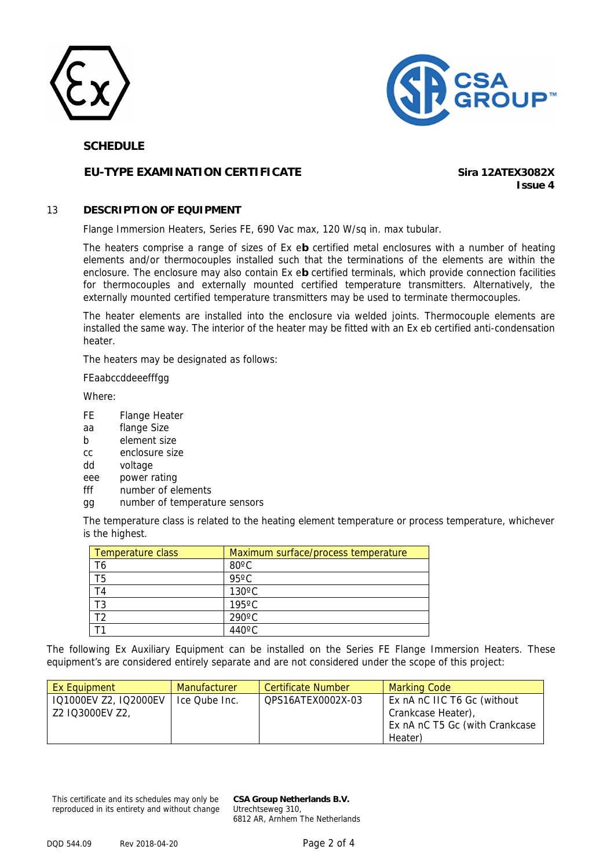



## **SCHEDULE**

## **EU-TYPE EXAMINATION CERTIFICATE Sira 12ATEX3082X**

**Issue 4**

## 13 **DESCRIPTION OF EQUIPMENT**

Flange Immersion Heaters, Series FE, 690 Vac max, 120 W/sq in. max tubular.

The heaters comprise a range of sizes of Ex e**b** certified metal enclosures with a number of heating elements and/or thermocouples installed such that the terminations of the elements are within the enclosure. The enclosure may also contain Ex e**b** certified terminals, which provide connection facilities for thermocouples and externally mounted certified temperature transmitters. Alternatively, the externally mounted certified temperature transmitters may be used to terminate thermocouples.

The heater elements are installed into the enclosure via welded joints. Thermocouple elements are installed the same way. The interior of the heater may be fitted with an Ex eb certified anti-condensation heater.

The heaters may be designated as follows:

FEaabccddeeefffgg

Where:

- FE Flange Heater
- aa flange Size
- b element size
- cc enclosure size
- dd voltage
- eee power rating
- fff number of elements
- gg number of temperature sensors

The temperature class is related to the heating element temperature or process temperature, whichever is the highest.

| Temperature class | Maximum surface/process temperature |
|-------------------|-------------------------------------|
| T6                | $80^{\circ}$ C                      |
| г5                | $95^{\circ}$ C                      |
| ۲4                | $130^{\circ}$ C                     |
|                   | $195^{\circ}$ C                     |
|                   | $290^{\circ}$ C                     |
|                   | $440^{\circ}$ C.                    |

The following Ex Auxiliary Equipment can be installed on the Series FE Flange Immersion Heaters. These equipment's are considered entirely separate and are not considered under the scope of this project:

| Ex Equipment          | <b>Manufacturer</b> | <b>Certificate Number</b> | <b>Marking Code</b>            |
|-----------------------|---------------------|---------------------------|--------------------------------|
| IQ1000EV Z2, IQ2000EV | Ice Qube Inc.       | OPS16ATEX0002X-03         | Ex nA nC IIC T6 Gc (without    |
| Z2 IQ3000EV Z2,       |                     |                           | Crankcase Heater),             |
|                       |                     |                           | Ex nA nC T5 Gc (with Crankcase |
|                       |                     |                           | Heater)                        |

This certificate and its schedules may only be reproduced in its entirety and without change **CSA Group Netherlands B.V.** Utrechtseweg 310, 6812 AR, Arnhem The Netherlands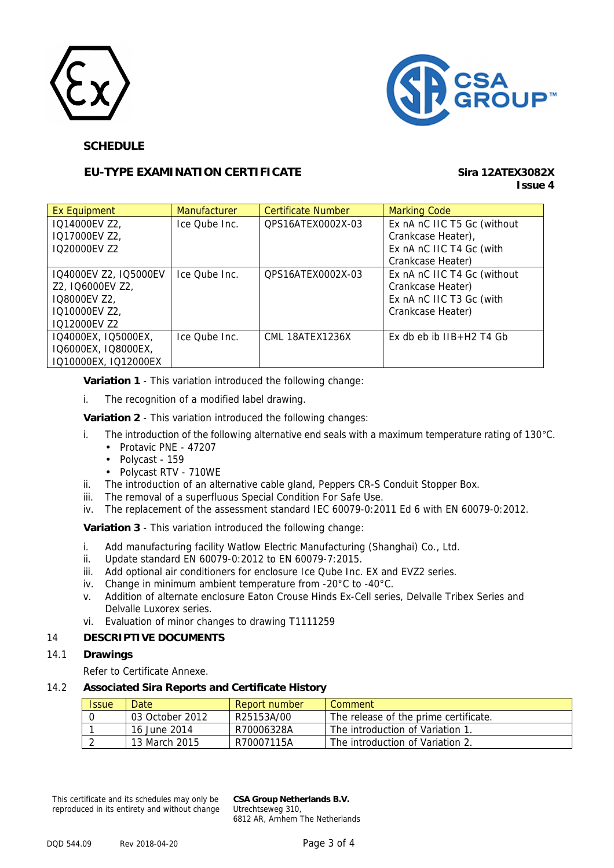



## **SCHEDULE**

## **EU-TYPE EXAMINATION CERTIFICATE Sira 12ATEX3082X**

# **Issue 4**

| Ex Equipment          | <b>Manufacturer</b> | <b>Certificate Number</b> | <b>Marking Code</b>         |
|-----------------------|---------------------|---------------------------|-----------------------------|
| IQ14000EV Z2,         | Ice Qube Inc.       | OPS16ATEX0002X-03         | Ex nA nC IIC T5 Gc (without |
| IQ17000EV Z2,         |                     |                           | Crankcase Heater),          |
| IO20000EV Z2          |                     |                           | Ex nA nC IIC T4 Gc (with    |
|                       |                     |                           | Crankcase Heater)           |
| IQ4000EV Z2, IQ5000EV | Ice Qube Inc.       | OPS16ATEX0002X-03         | Ex nA nC IIC T4 Gc (without |
| Z2, IQ6000EV Z2,      |                     |                           | Crankcase Heater)           |
| IQ8000EV Z2,          |                     |                           | Ex nA nC IIC T3 Gc (with    |
| IQ10000EV Z2,         |                     |                           | Crankcase Heater)           |
| IQ12000EV Z2          |                     |                           |                             |
| IQ4000EX, IQ5000EX,   | Ice Qube Inc.       | CML 18ATEX1236X           | Ex db eb ib IIB+H2 T4 Gb    |
| IQ6000EX, IQ8000EX,   |                     |                           |                             |
| IQ10000EX, IQ12000EX  |                     |                           |                             |

**Variation 1** - This variation introduced the following change:

i. The recognition of a modified label drawing.

**Variation 2** - This variation introduced the following changes:

- i. The introduction of the following alternative end seals with a maximum temperature rating of 130°C.
	- Protavic PNE 47207
	- Polycast 159
	- Polycast RTV 710WE
- ii. The introduction of an alternative cable gland, Peppers CR-S Conduit Stopper Box.
- iii. The removal of a superfluous Special Condition For Safe Use.
- iv. The replacement of the assessment standard IEC 60079-0:2011 Ed 6 with EN 60079-0:2012.

**Variation 3** - This variation introduced the following change:

- i. Add manufacturing facility Watlow Electric Manufacturing (Shanghai) Co., Ltd.
- ii. Update standard EN 60079-0:2012 to EN 60079-7:2015.
- iii. Add optional air conditioners for enclosure Ice Qube Inc. EX and EVZ2 series.
- iv. Change in minimum ambient temperature from -20°C to -40°C.
- v. Addition of alternate enclosure Eaton Crouse Hinds Ex-Cell series, Delvalle Tribex Series and Delvalle Luxorex series.
- vi. Evaluation of minor changes to drawing T1111259

## 14 **DESCRIPTIVE DOCUMENTS**

#### 14.1 **Drawings**

Refer to Certificate Annexe.

#### 14.2 **Associated Sira Reports and Certificate History**

| <b>Issue</b> | Date            | Report number | Comment                               |
|--------------|-----------------|---------------|---------------------------------------|
|              | 03 October 2012 | R25153A/00    | The release of the prime certificate. |
|              | 16 June 2014    | R70006328A    | The introduction of Variation 1.      |
|              | 13 March 2015   | R70007115A    | The introduction of Variation 2.      |

This certificate and its schedules may only be reproduced in its entirety and without change **CSA Group Netherlands B.V.** Utrechtseweg 310, 6812 AR, Arnhem The Netherlands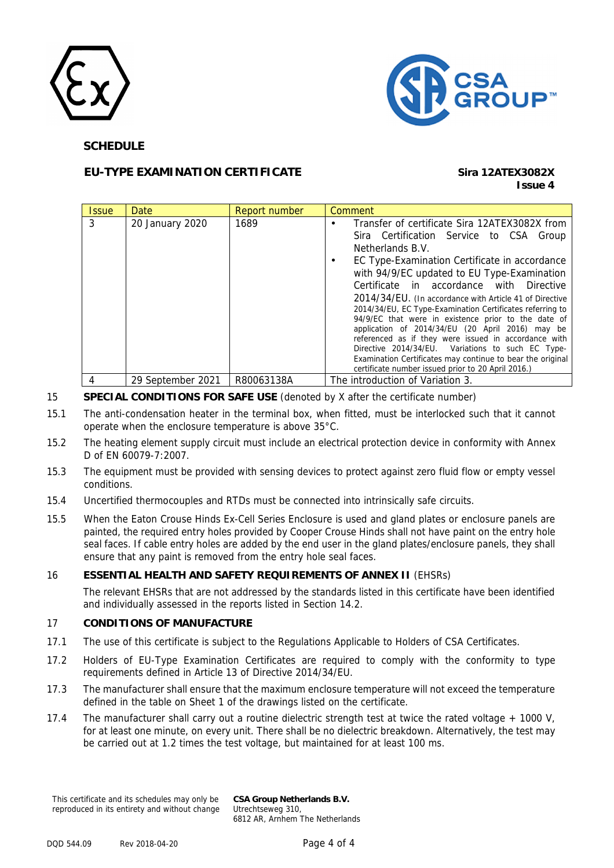



## **SCHEDULE**

# **EU-TYPE EXAMINATION CERTIFICATE Sira 12ATEX3082X**

# **Issue 4**

| <b>Issue</b> | Date              | Report number | Comment                                                                                                                                                                                                                                                                                                                                                                                                                                                                                                                                                                                                                                                                                                                      |
|--------------|-------------------|---------------|------------------------------------------------------------------------------------------------------------------------------------------------------------------------------------------------------------------------------------------------------------------------------------------------------------------------------------------------------------------------------------------------------------------------------------------------------------------------------------------------------------------------------------------------------------------------------------------------------------------------------------------------------------------------------------------------------------------------------|
| 3            | 20 January 2020   | 1689          | Transfer of certificate Sira 12ATEX3082X from<br>Sira Certification Service to CSA Group<br>Netherlands B.V.<br>EC Type-Examination Certificate in accordance<br>with 94/9/EC updated to EU Type-Examination<br>Certificate in accordance with Directive<br>2014/34/EU. (In accordance with Article 41 of Directive<br>2014/34/EU, EC Type-Examination Certificates referring to<br>94/9/EC that were in existence prior to the date of<br>application of 2014/34/EU (20 April 2016) may be<br>referenced as if they were issued in accordance with<br>Directive 2014/34/EU. Variations to such EC Type-<br>Examination Certificates may continue to bear the original<br>certificate number issued prior to 20 April 2016.) |
|              | 29 September 2021 | R80063138A    | The introduction of Variation 3.                                                                                                                                                                                                                                                                                                                                                                                                                                                                                                                                                                                                                                                                                             |

## 15 **SPECIAL CONDITIONS FOR SAFE USE** (denoted by X after the certificate number)

- 15.1 The anti-condensation heater in the terminal box, when fitted, must be interlocked such that it cannot operate when the enclosure temperature is above 35°C.
- 15.2 The heating element supply circuit must include an electrical protection device in conformity with Annex D of EN 60079-7:2007.
- 15.3 The equipment must be provided with sensing devices to protect against zero fluid flow or empty vessel conditions.
- 15.4 Uncertified thermocouples and RTDs must be connected into intrinsically safe circuits.
- 15.5 When the Eaton Crouse Hinds Ex-Cell Series Enclosure is used and gland plates or enclosure panels are painted, the required entry holes provided by Cooper Crouse Hinds shall not have paint on the entry hole seal faces. If cable entry holes are added by the end user in the gland plates/enclosure panels, they shall ensure that any paint is removed from the entry hole seal faces.

#### 16 **ESSENTIAL HEALTH AND SAFETY REQUIREMENTS OF ANNEX II** (EHSRs)

The relevant EHSRs that are not addressed by the standards listed in this certificate have been identified and individually assessed in the reports listed in Section 14.2.

#### 17 **CONDITIONS OF MANUFACTURE**

- 17.1 The use of this certificate is subject to the Regulations Applicable to Holders of CSA Certificates.
- 17.2 Holders of EU-Type Examination Certificates are required to comply with the conformity to type requirements defined in Article 13 of Directive 2014/34/EU.
- 17.3 The manufacturer shall ensure that the maximum enclosure temperature will not exceed the temperature defined in the table on Sheet 1 of the drawings listed on the certificate.
- 17.4 The manufacturer shall carry out a routine dielectric strength test at twice the rated voltage + 1000 V, for at least one minute, on every unit. There shall be no dielectric breakdown. Alternatively, the test may be carried out at 1.2 times the test voltage, but maintained for at least 100 ms.